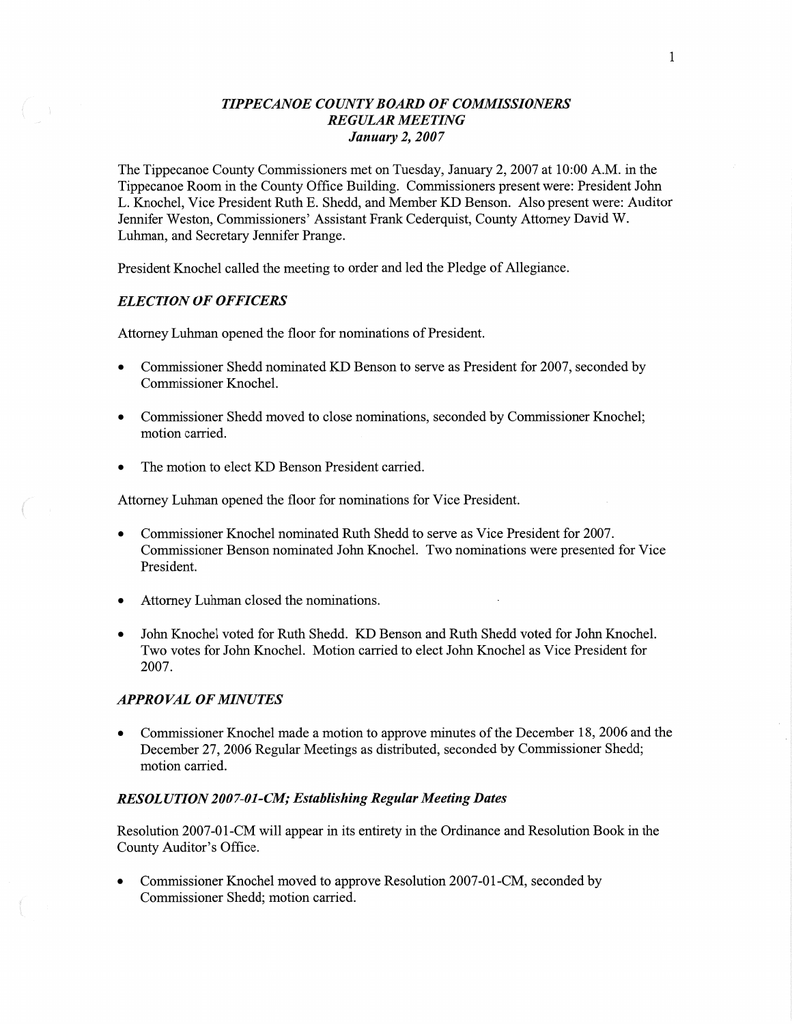## *TIPPECANOE COUNT Y BOARD* OF *COMMISSIONERS REGULAR MEETING January* 2, *2007*

The Tippecanoe County Commissioners met on Tuesday, January 2, 2007 at **10:00** AM. in the Tippecanoe Room in the County Office Building. Commissioners present were: President John L. Knochel, **Vice** President Ruth B. Shedd, and Member KD Benson. Also present were: Auditor Jennifer Weston, Commissioners' Assistant Frank Cederquist, County Attorney **David** W. Luhman, and Secretary Jennifer Prange.

President Knochel called the meeting to order and led the Pledge of Allegiance.

### *ELECTION* OF *OFFICERS*

Attorney Luhman opened the floor for nominations of President.

- **0** Commissioner **Shedd** nominated KD Benson to serve as President for 2007, seconded by Commissioner Knochel.
- **0** Commissioner Shedd moved to close **nominations,** seconded by Commissioner Knochel; motion carried.
- The motion to elect KD Benson President carried.

Attomey **Luhman** opened the floor for nominations for Vice President.

- **0** Commissioner Knochel nominated Ruth **Shedd** to serve as **Vice** President for 2007. Commissioner Benson nominated John Knochel. Two nominations were presented for Vice President.
- Attorney Luhman closed the nominations.
- John Knochel voted for Ruth Shedd. KD Benson and Ruth Shedd voted for John Knochel. Two votes for John Knochel. Motion carried to elect John Knochel as **Vice** President for 2007.

#### *APPROVAL* OF *MINUTES*

**0** Commissioner Knochel made a motion to approve minutes of the December 18, 2006 and the December 27, 2006 Regular **Meetings** as distributed, seconded by **Commissioner** Shedd; motion carried.

#### *RESOLUTION* 200 *7-01-CM; Establishing Regular Meeting Dates*

Resolution 2007-01-CM will appear in its entirety in the Ordinance and Resolution Book in the County Auditor's Office.

Commissioner Knochel moved to approve Resolution 2007-01-CM, seconded by Commissioner Shedd; motion carried.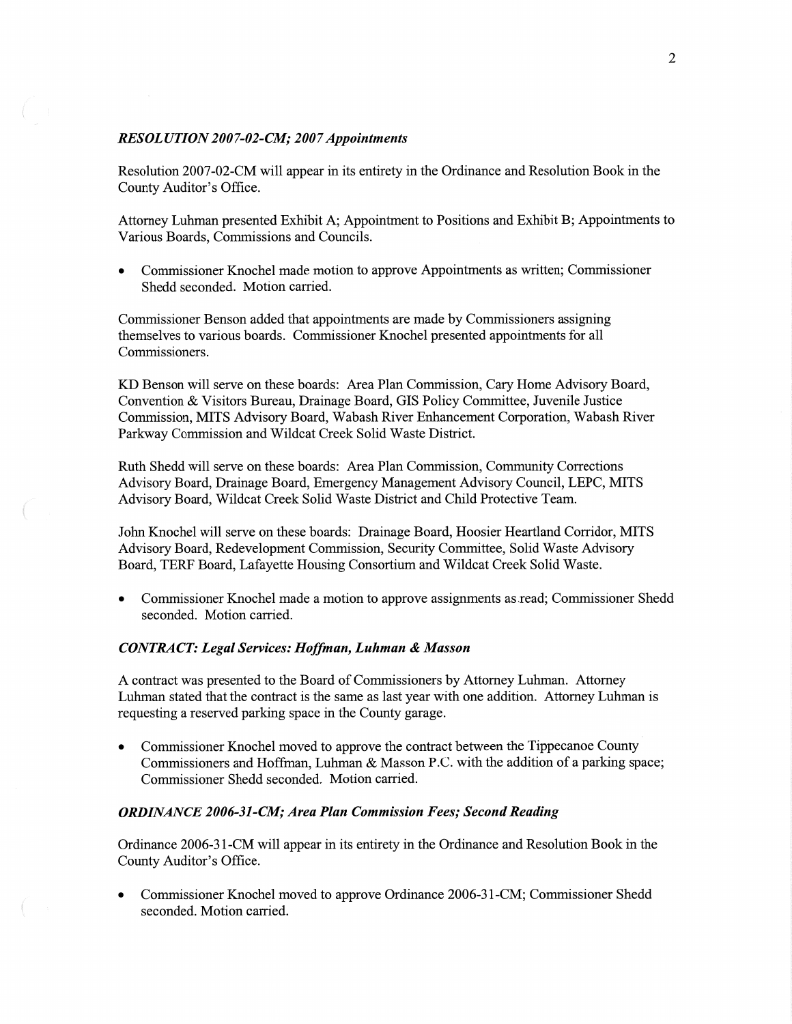### *RESOL UTION 2007-02-CM; 2007Appointments*

Resolution 2007-02-CM will appear in its entirety in the Ordinance and Resolution Book in the County Auditor's Office.

Attorney Luhman presented Exhibit A; Appointment to Positions and Exhibit B; Appointments to Various Boards, Commissions and Councils.

**0** Commissioner Knochel made **motion** to approve Appointments as written; Commissioner Shedd seconded. Motion carried.

Commissioner Benson added that appointments are made by Commissioners assigning themselves to various boards. Commissioner Knochel presented appointments for all Commissioners.

KD Benson will serve on these boards: Area Plan Commission, Cary **Home** Advisory Board, Convention & Visitors Bureau, Drainage Board, GIS Policy Committee, Juvenile Justice Commission, **MITS Advisory** Board, Wabash **River** Enhancement Corporation, Wabash River Parkway Commission and Wildcat Creek Solid Waste District.

Ruth Shedd will serve on these boards: Area Plan **Commission,** Community Corrections Advisory Board, Drainage Board, Emergency Management Advisory Council, LEPC, **MITS**  Advisory Board, Wildcat Creek Solid Waste District and Child Protective Team.

John Knochel will serve on these boards: Drainage Board, Hoosier **Heartland** Corridor, MITS Advisory Board, Redevelopment Commission, Security Committee, Solid Waste Advisory Board, TERF Board, Lafayette Housing Consortium and Wildcat Creek Solid Waste.

**0** Commissioner Knochel made **a** motion to approve assignments as .read; Commissioner Shedd seconded. Motion carried.

# *CONTRACT: Legal Services: Hoflman, Luhman & Masson*

A contract was presented to the Board of Commissioners by Attorney Luhman. Attorney Luhman stated that the contract is the same as last year with one addition. Attorney Luhman is requesting a reserved parking space in the County garage.

Commissioner Knochel moved to approve the contract between the Tippecanoe County Commissioners and Hoffman, Luhman & Masson P.C. with the addition of a parking space; Commissioner Shedd seconded. Motion carried.

# *ORDINANCE 2006—31-CM; Area Plan Commission Fees; Second Reading*

Ordinance 2006-31-CM will appear in its entirety in the Ordinance and Resolution Book in the County Auditor's Office.

**0** Commissioner Knochel **moved** to approve Ordinance 2006-31—CM; Commissioner Shedd seconded. Motion carried.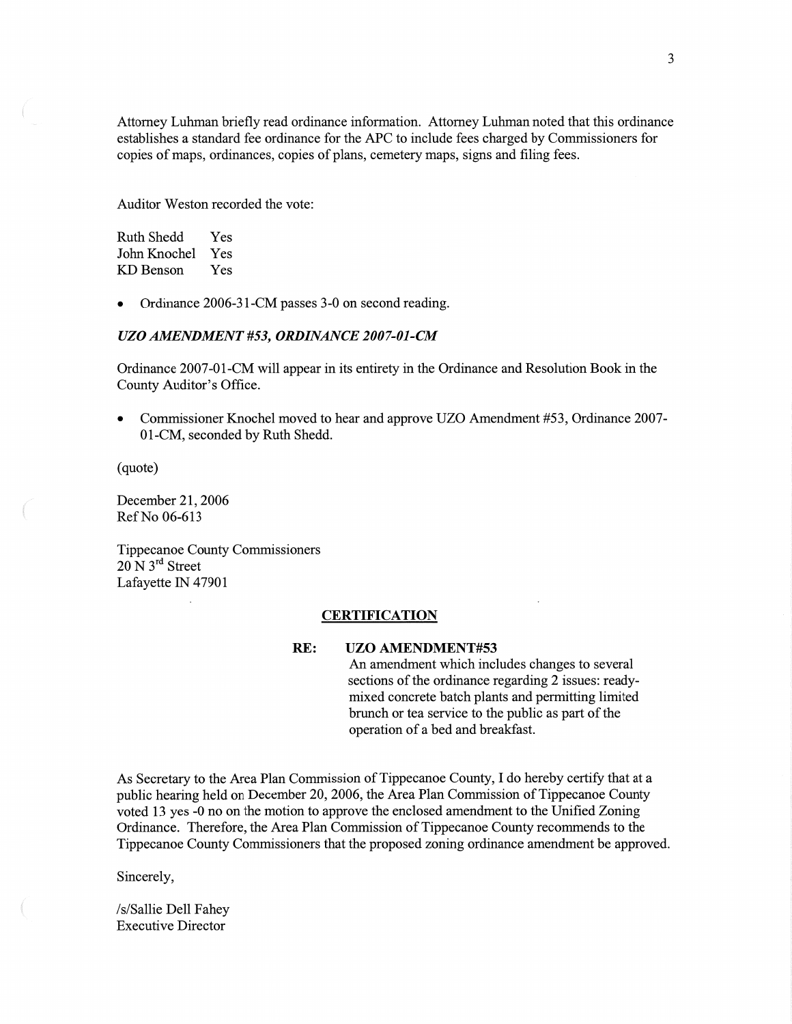Attorney **Luhman** briefly read ordinance information. Attorney Luhman noted that **this** ordinance establishes a standard fee ordinance for the APC to include fees charged by Commissioners for copies of maps, ordinances, copies of plans, cemetery maps, signs and filing fees.

Auditor Weston recorded the vote:

Ruth Shedd Yes John Knochel Yes KD Benson Yes

**0** Ordinance 2006-31-CM passes 3-0 on second reading.

### UZO *AMENDMENT #53, ORDINANCE 2007-01-CM*

Ordinance 2007—01-CM will appear in its entirety in the Ordinance and Resolution Book in the County Auditor's Office.

*0* Commissioner Knochel moved to hear and approve UZO **Amendment** #53, Ordinance 2007- 01-CM, seconded by Ruth Shedd.

(quote)

December 21, 2006 Ref No 06-613

Tippecanoe County Commissioners 20 N 3rd Street Lafayette IN 47901

#### **CERTIFICATION**

#### RE: UZO **AMENDMENT#53**

An amendment which includes changes to several sections of the ordinance regarding 2 issues: ready**mixed** concrete batch plants and permitting limited brunch or tea service to the public as part of the operation of a bed and breakfast.

As Secretary to the Area Plan Commission of Tippecanoe County, I do hereby certify that at **a**  public hearing **held** on December 20, 2006, the Area Plan Commission of Tippecanoe County voted 13 yes -0 no on the motion to approve the enclosed amendment to the Unified Zoning Ordinance. Therefore, the Area **Plan** Commission of Tippecanoe County recommends to the Tippecanoe County Commissioners that the proposed zoning ordinance amendment be approved.

Sincerely,

/s/Sallie Dell Fahey **Executive** Director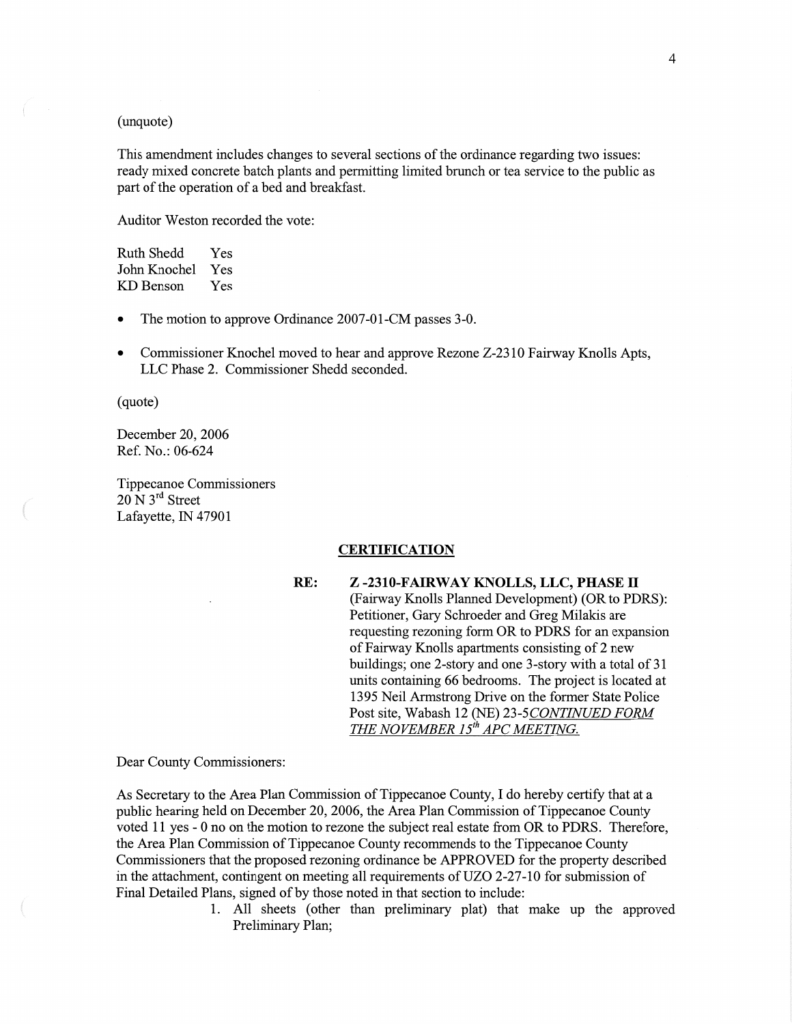# (unquote)

**This** amendment includes changes to several sections of the ordinance regarding two issues: ready mixed concrete batch plants and permitting limited brunch or tea service to the public as part of the operation of a bed and breakfast.

Auditor **Weston** recorded the vote:

| Ruth Shedd   | Yes |
|--------------|-----|
| John Knochel | Yes |
| KD Benson    | Yes |

- The motion to approve Ordinance 2007-01-CM passes 3-0.
- **0** Commissioner Knochel moved to hear and approve Rezone Z-2310 Fairway Knolls Apts, LLC Phase 2. Commissioner Shedd seconded.

(quote)

 $\overline{a}$ 

December 20, 2006 Ref. No.: 06-624

Tippecanoe Commissioners  $20$  N  $3<sup>rd</sup>$  Street Lafayette, IN 47901

#### **CERTIFICATION**

RE: **Z -2310-FAIRWAY KNOLLS, LLC, PHASE** II (Fairway Knolls Flamed Development) (OR to PDRS): Petitioner, Gary Schroeder and Greg Milakis are requesting rezoning form OR to PDRS for an expansion of Fairway Knolls apartments consisting of 2 new buildings; one 2-story and one 3-story with a total of 31 units containing 66 bedrooms. The project is located at 1395 Neil Armstrong Drive on the former State Police Post site, Wabash 12 (NE) 23-5 *CONTINUED FORM*  THE NOVEMBER 15<sup>th</sup> APC MEETING.

Dear County Commissioners:

As Secretary to the Area Plan Commission of Tippecanoe County, I do hereby certify that at **a**  public hearing held on December 20, 2006, the Area Plan Commission of Tippecanoe County voted 11 yes **-** 0 no on the **motion** to rezone the subject real estate from OR to PDRS. Therefore, the Area Plan Commission of Tippecanoe County recommends to the Tippecanoe County Commissioners that the proposed rezoning ordinance be APPROVED for the property described in the attachment, contingent on meeting all requirements of UZO 2-27-10 for submission of Final Detailed Plans, signed of by those noted in that section to include:

> 1. All sheets (other than preliminary plat) that make up the approved Preliminary Plan;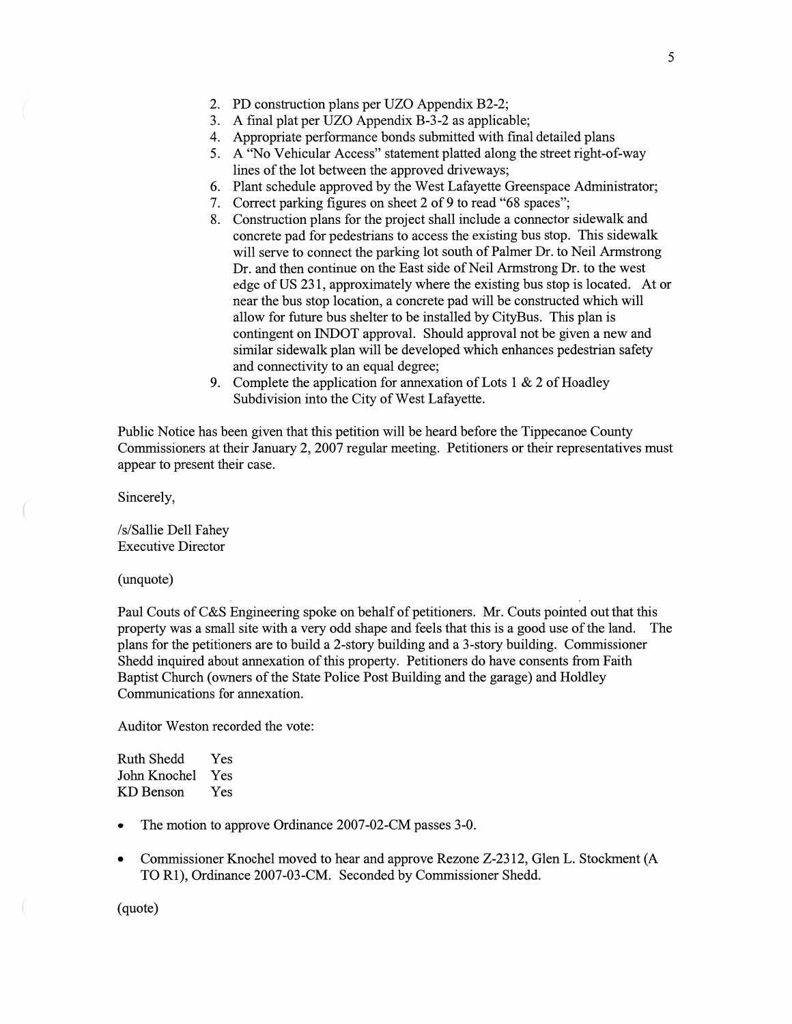- 2. PD construction plans per UZO Appendix B2-2;
- **A** final plat per UZO Appendix B-3 -2 as applicable;
- Appropriate performance bonds submitted with final detailed plans
- 5. A "No Vehicular Access" statement platted along the street right-of-way lines of the lot between the approved driveways;
- First schedule approved by the West Lafayette Greenspace Administrator;<br>
7. Correct parking figures on sheet 2 of 9 to read "68 spaces";<br>
8. Construction plans for the project shall include a connector sidewalk and
- Correct parking figures on sheet 2 of *9* to read "68 spaces";
- Construction plans for the project shall include a connector sidewalk and concrete pad for pedestrians to access the existing bus stop. This sidewalk will serve to **connect** the parking lot south of Palmer Dr. to Neil Armstrong Dr. and then continue on the East side of Neil Armstrong Dr. to the west edge of US 231, approximately where the existing bus stop is located. At or near the bus stop location, a concrete pad will be constructed which will allow for future bus shelter to be installed by CityBus. This plan is contingent on INDOT approval. Should approval not be given a new and similar sidewalk plan will be developed which enhances pedestrian safety and connectivity to an equal degree;
- 9. Complete the application for annexation of Lots 1  $\&$  2 of Hoadley Subdivision **into** the City of West Lafayette.

Public Notice has been **given** that this petition will be heard before the Tippecanoe County Commissioners at their January 2, 2007 regular meeting. Petitioners or their representatives must appear to present their case.

Sincerely,

**/** s/ Sallie Dell Fahey Executive Director

(unquote)

Paul Couts of C&S Engineering spoke on behalf of petitioners. Mr. Couts pointed out that this property was a small site with a very odd shape and feels that this is a good use of the **land.** The plans for the petitioners are to build a 2-story building and a 3-story building. Commissioner Shedd inquired about **annexation** of this property. Petitioners do have consents from Faith Baptist Church (owners of the State Police Post Building and the garage) and Holdley Communications for annexation.

**Auditor** Weston recorded the vote:

| Ruth Shedd   | Yes |
|--------------|-----|
| John Knochel | Yes |
| KD Benson    | Yes |

- The motion to approve Ordinance 2007-02-CM passes 3-0.
- **0** Commissioner Knochel **moved** to hear and approve Rezone Z-2312, Glen L. Stockment (A TO R1), Ordinance 2007-03-CM. Seconded by Commissioner Shedd.

(quote)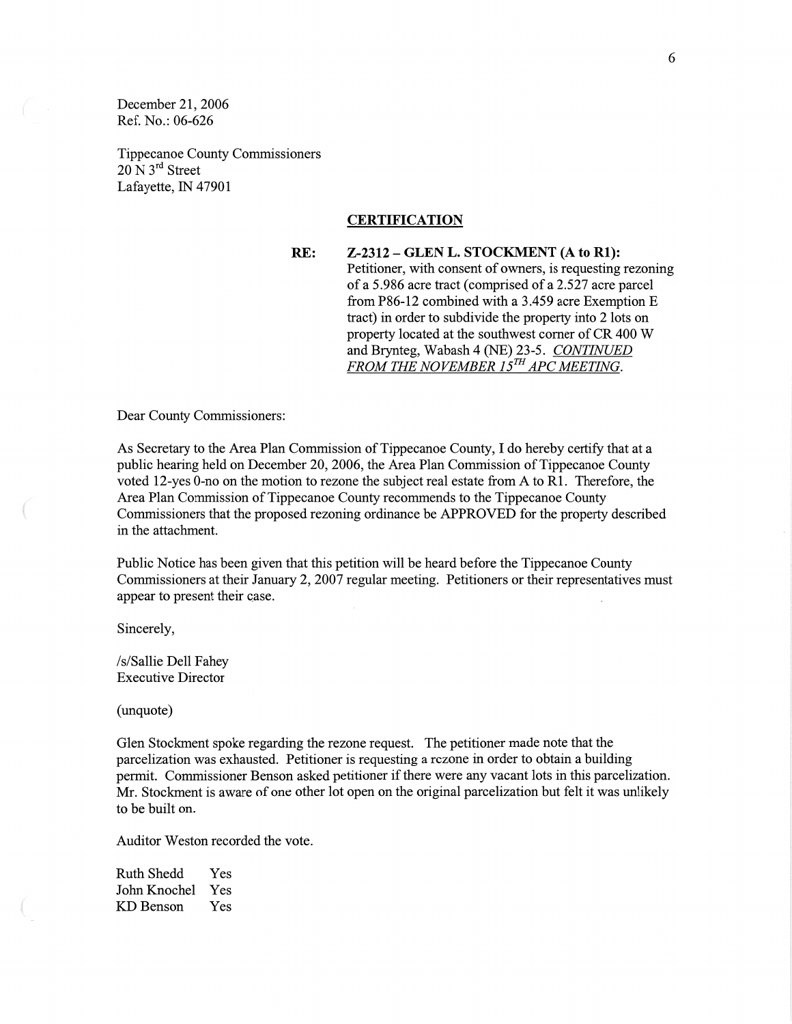December 21, 2006 Ref. No.: 06-626

Tippecanoe County Commissioners  $20$  N  $3<sup>rd</sup>$  Street Lafayette, IN 47901

#### **CERTIFICATION**

RE: **Z-2312 — GLEN** L. **STOCKMENT** (A to **R1):**  Petitioner, with consent of owners, is requesting rezoning of a 5.986 acre tract (comprised of a 2.527 acre parcel from P86-12 combined with a 3.459 acre Exemption E tract) in order to subdivide the property into 2 lots on property located at the southwest comer of CR 400 **W**  and Brynteg, Wabash 4 (NE) 23-5. *CONTINUED FROM* THE *NOVEMBER 15"* AFC *MEETING.* 

Dear County Commissioners:

As Secretary to the Area **Plan** Commission of Tippecanoe County, I do hereby certify that at a public hearing held on December 20, 2006, the Area Plan Commission of Tippecanoe County voted 12—yes O-no on the motion to rezone the subject real estate fiom **A** to R1. Therefore, the Area Plan Commission of Tippecanoe County recommends to the Tippecanoe County Commissioners that the proposed rezoning ordinance be APPROVED for the property described in the attachment.

Public Notice has been given that this petition will be heard before the Tippecanoe County Commissioners at their January 2, 2007 regular meeting. Petitioners or their representatives must appear to present their case.

Sincerely,

,pwm."

 $\left($ 

/s/Sallie Dell Fahey Executive Director

(unquote)

Glen Stockment spoke regarding the rezone request. The petitioner made note that the parcelization was exhausted. Petitioner is requesting a rezone in order to obtain a building permit. Commissioner Benson asked petitioner if there were any **vacant** lots in **this** parcelization. Mr. Stockment is aware of one other lot open on the original parcelization but felt it was unlikely to be built on.

Auditor Weston recorded the vote.

Ruth Shedd Yes John **Knochel** Yes KD Benson Yes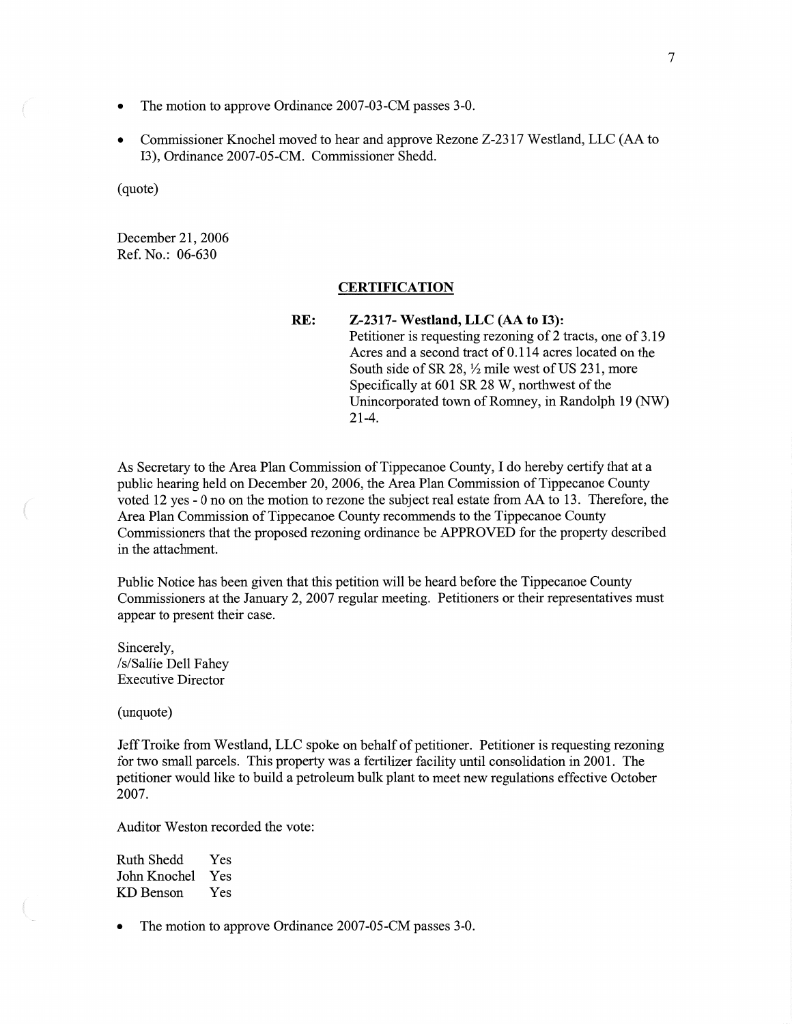- The motion to approve Ordinance 2007-03-CM passes 3-0.
- **0** Commissioner Knochel moved to hear and approve Rezone Z-2317 Westland, LLC (AA to 13), Ordinance 2007-05-CM. Commissioner Shedd.

(quote)

December 21, 2006 Ref. No.: 06-630

### **CERTIFICATION**

RE: **Z-2317—** Westland, LLC (AA to **I3):**  Petitioner is requesting rezoning of 2 tracts, one of 3.19 Acres and a second tract of 0.1 14 acres located on the South side of SR 28,  $\frac{1}{2}$  mile west of US 231, more Specifically at 601 SR 28 W, northwest of the Unincorporated town of Romney, in Randolph 19 (NW) 21-4.

As Secretary to the Area Plan Commission of Tippecanoe County, I do hereby certify that at **<sup>a</sup>** public hearing held on December 20, 2006, the Area Plan Commission of Tippecanoe County voted 12 yes **-** 0 no on the motion to rezone the subject real estate from AA to 13. Therefore, the Area **Plan** Commission of Tippecanoe County recommends to the Tippecanoe County Commissioners that the proposed rezoning ordinance be APPROVED for the property described in the attachment.

Public Notice has been given that this petition will be heard before the Tippecanoe County Commissioners at the January 2, 2007 regular meeting. Petitioners or their representatives must appear to present their case.

Sincerely, /s/ **Sallie** Dell Fahey Executive Director

(unquote)

Jeff Troike from Westland, LLC spoke on behalf of petitioner. Petitioner is requesting rezoning for two small parcels. This property was a fertilizer facility until consolidation in 2001. The petitioner would like to build a petroleum bulk plant to meet new regulations effective October 2007.

Auditor Weston recorded the vote:

Ruth Shedd Yes John Knochel Yes KD Benson Yes

The motion to approve Ordinance 2007-05-CM passes 3-0.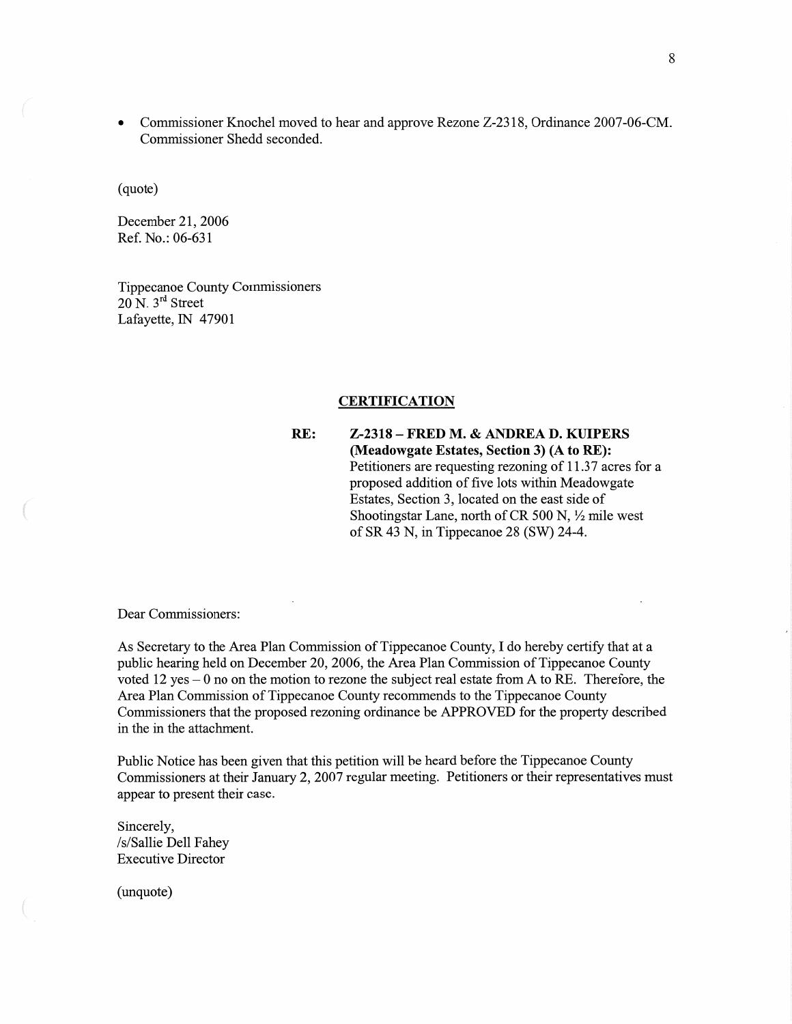**0** Commissioner Knochel moved to hear and approve Rezone Z-2318, Ordinance 2007-06-CM. Commissioner Shedd seconded.

(quote)

December 21, 2006 Ref. No.: 06-631

Tippecanoe County Commissioners  $20$  N.  $3<sup>rd</sup>$  Street Lafayette, IN 47901

#### **CERTIFICATION**

RE: **Z-2318** -— **FRED** M. **& ANDREA** D. **KUIPERS (NIeadowgate Estates, Section** 3) (A to RE): Petitioners are requesting rezoning of 11.37 acres for **a**  proposed addition of five lots within Meadowgate Estates, Section 3, located on the east side of Shootingstar Lane, north of CR 500 N,  $\frac{1}{2}$  mile west of SR 43 N, in Tippecanoe 28 (SW) 24-4.

Dear Commissioners:

As Secretary to the Area Plan Commission of Tippecanoe County, I do hereby certify that at a public hearing held on December 20, 2006, the Area Plan Commission of Tippecanoe County voted 12 yes *—* 0 no on the motion to rezone the subject real estate from **A** to RE. Therefore, the Area Plan Commission of Tippecanoe County recommends to the Tippecanoe County Commissioners that the proposed rezoning ordinance be APPROVED for the property described in the in the attachment.

Public Notice has been **given** that this **petition** will be heard before the Tippecanoe County Commissioners at their January 2, 2007 regular meeting. Petitioners or their representatives **must**  appear to present their case.

Sincerely, /s/ Sallie Dell Fahey Executive Director

(unquote)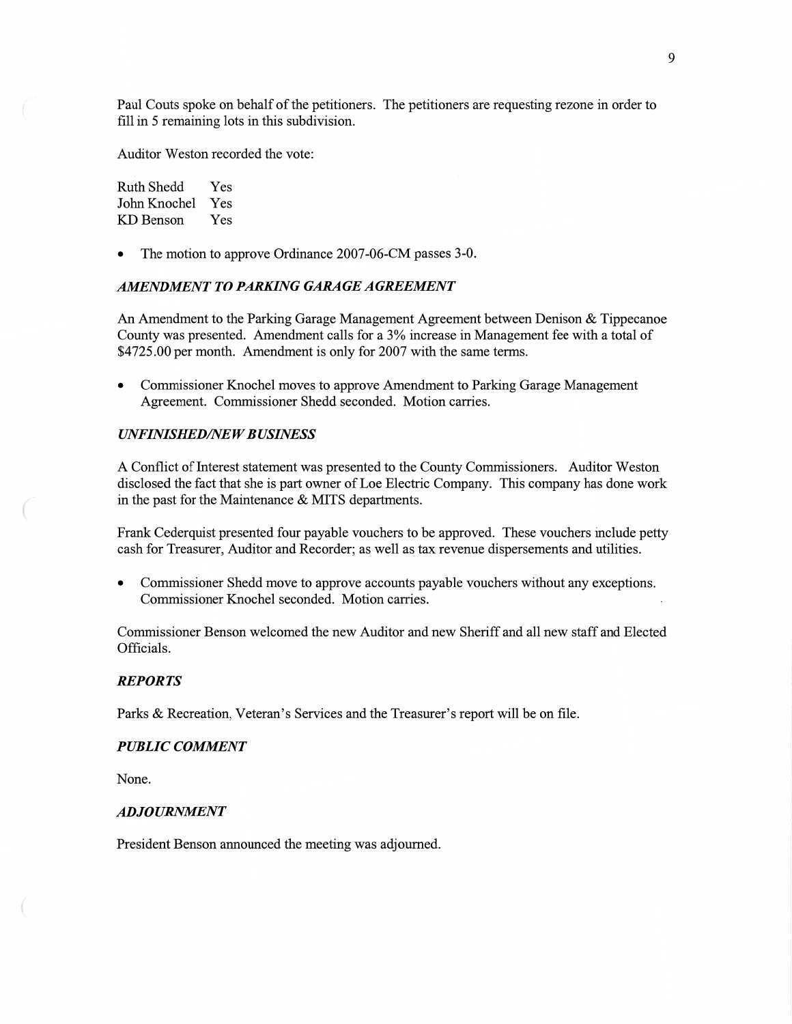Paul Couts spoke on behalf of the petitioners. The petitioners are requesting rezone in order to fill in 5 remaining lots in this subdivision.

Auditor Weston recorded the vote:

Ruth Shedd Yes John Knochel Yes KD Benson Yes

The motion to approve Ordinance 2007-06-CM passes 3-0.

### *AMENDMENT T 0 PARKING GARAGE AGREEMENT*

An Amendment to the Parking Garage Management Agreement between Denison & Tippecanoe County was presented. **Amendment** calls for a 3% increase in Management fee with a **total** of \$4725.00 per month. Amendment is only for 2007 with the same terms.

**0** Commissioner Knochel **moves** to approve Amendment to Parking Garage Management Agreement. Commissioner Shedd seconded. Motion carries.

#### *UNFINISHED/NEW BUSINESS*

**A Conflict** of Interest statement was presented to the County Commissioners. Auditor Weston disclosed the fact that she is part owner of Loe Electric Company. This company has done work in the past for the Maintenance & MITS departments.

Frank Cederquist presented four payable vouchers to be approved. These vouchers include petty cash for Treasurer, Auditor and Recorder; as well as tax revenue dispersements and utilities.

**0** Commissioner Shedd **move** to approve accounts payable vouchers without any exceptions. Commissioner Knochel seconded. **Motion** carries.

Commissioner Benson welcomed the new **Auditor** and new Sheriff and all new staff and Elected Officials.

#### *REPORTS*

Parks & Recreation, Veteran's Services and the Treasurer's report will be on file.

### *PUBLIC COMMENT*

**None.** 

#### *ADJOURNMENT*

President Benson announced the meeting was adjourned.